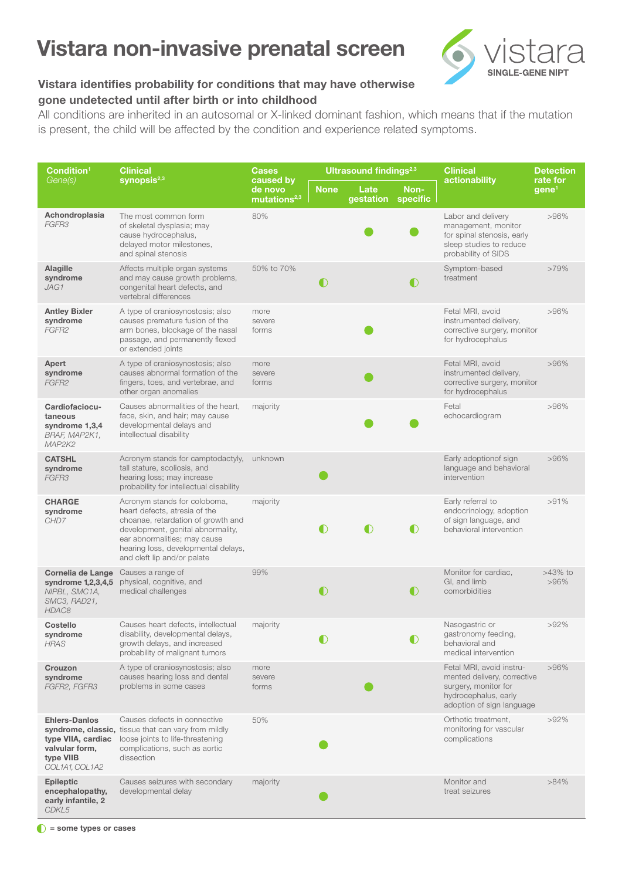## Vistara non-invasive prenatal screen



## Vistara identifies probability for conditions that may have otherwise gone undetected until after birth or into childhood

All conditions are inherited in an autosomal or X-linked dominant fashion, which means that if the mutation is present, the child will be affected by the condition and experience related symptoms.

| Condition <sup>1</sup><br>Gene(s)                                                           | <b>Clinical</b><br>synopsis <sup>2,3</sup>                                                                                                                                                                                                     | <b>Cases</b><br>caused by<br>de novo<br>mutations <sup>2,3</sup> |             | <b>Ultrasound findings</b> <sup>2,3</sup> |                  | <b>Clinical</b><br>actionability                                                                                                     | <b>Detection</b><br>rate for<br>gene <sup>1</sup> |
|---------------------------------------------------------------------------------------------|------------------------------------------------------------------------------------------------------------------------------------------------------------------------------------------------------------------------------------------------|------------------------------------------------------------------|-------------|-------------------------------------------|------------------|--------------------------------------------------------------------------------------------------------------------------------------|---------------------------------------------------|
|                                                                                             |                                                                                                                                                                                                                                                |                                                                  | <b>None</b> | Late<br>gestation                         | Non-<br>specific |                                                                                                                                      |                                                   |
| Achondroplasia<br>FGFR3                                                                     | The most common form<br>of skeletal dysplasia; may<br>cause hydrocephalus,<br>delayed motor milestones,<br>and spinal stenosis                                                                                                                 | 80%                                                              |             |                                           |                  | Labor and delivery<br>management, monitor<br>for spinal stenosis, early<br>sleep studies to reduce<br>probability of SIDS            | $>96\%$                                           |
| <b>Alagille</b><br>syndrome<br>JAG1                                                         | Affects multiple organ systems<br>and may cause growth problems,<br>congenital heart defects, and<br>vertebral differences                                                                                                                     | 50% to 70%                                                       | $\bullet$   |                                           | $\bigcirc$       | Symptom-based<br>treatment                                                                                                           | $>79\%$                                           |
| <b>Antley Bixler</b><br>syndrome<br>FGFR2                                                   | A type of craniosynostosis; also<br>causes premature fusion of the<br>arm bones, blockage of the nasal<br>passage, and permanently flexed<br>or extended joints                                                                                | more<br>severe<br>forms                                          |             |                                           |                  | Fetal MRI, avoid<br>instrumented delivery,<br>corrective surgery, monitor<br>for hydrocephalus                                       | >96%                                              |
| Apert<br>syndrome<br>FGFR2                                                                  | A type of craniosynostosis; also<br>causes abnormal formation of the<br>fingers, toes, and vertebrae, and<br>other organ anomalies                                                                                                             | more<br>severe<br>forms                                          |             |                                           |                  | Fetal MRI, avoid<br>instrumented delivery,<br>corrective surgery, monitor<br>for hydrocephalus                                       | >96%                                              |
| Cardiofaciocu-<br>taneous<br>syndrome 1,3,4<br>BRAF, MAP2K1,<br>MAP2K2                      | Causes abnormalities of the heart,<br>face, skin, and hair; may cause<br>developmental delays and<br>intellectual disability                                                                                                                   | majority                                                         |             |                                           |                  | Fetal<br>echocardiogram                                                                                                              | >96%                                              |
| <b>CATSHL</b><br>syndrome<br>FGFR3                                                          | Acronym stands for camptodactyly,<br>tall stature, scoliosis, and<br>hearing loss; may increase<br>probability for intellectual disability                                                                                                     | unknown                                                          |             |                                           |                  | Early adoptionof sign<br>language and behavioral<br>intervention                                                                     | >96%                                              |
| <b>CHARGE</b><br>syndrome<br>CHD7                                                           | Acronym stands for coloboma,<br>heart defects, atresia of the<br>choanae, retardation of growth and<br>development, genital abnormality,<br>ear abnormalities; may cause<br>hearing loss, developmental delays,<br>and cleft lip and/or palate | majority                                                         | O           | $\bullet$                                 | $\bullet$        | Early referral to<br>endocrinology, adoption<br>of sign language, and<br>behavioral intervention                                     | >91%                                              |
| Cornelia de Lange<br>syndrome 1,2,3,4,5<br>NIPBL, SMC1A,<br>SMC3, RAD21,<br>HDAC8           | Causes a range of<br>physical, cognitive, and<br>medical challenges                                                                                                                                                                            | 99%                                                              | $\bigcirc$  |                                           | $\bigcirc$       | Monitor for cardiac,<br>GI, and limb<br>comorbidities                                                                                | $>43\%$ to<br>$>96\%$                             |
| <b>Costello</b><br>syndrome<br><b>HRAS</b>                                                  | Causes heart defects, intellectual<br>disability, developmental delays,<br>growth delays, and increased<br>probability of malignant tumors                                                                                                     | majority                                                         |             |                                           | $\bullet$        | Nasogastric or<br>gastronomy feeding,<br>behavioral and<br>medical intervention                                                      | $>92\%$                                           |
| Crouzon<br>syndrome<br>FGFR2, FGFR3                                                         | A type of craniosynostosis; also<br>causes hearing loss and dental<br>problems in some cases                                                                                                                                                   | more<br>severe<br>forms                                          |             |                                           |                  | Fetal MRI, avoid instru-<br>mented delivery, corrective<br>surgery, monitor for<br>hydrocephalus, early<br>adoption of sign language | $>96\%$                                           |
| <b>Ehlers-Danlos</b><br>type VIIA, cardiac<br>valvular form,<br>type VIIB<br>COL1A1, COL1A2 | Causes defects in connective<br>syndrome, classic, tissue that can vary from mildly<br>loose joints to life-threatening<br>complications, such as aortic<br>dissection                                                                         | 50%                                                              |             |                                           |                  | Orthotic treatment,<br>monitoring for vascular<br>complications                                                                      | $>92\%$                                           |
| <b>Epileptic</b><br>encephalopathy,<br>early infantile, 2<br>CDKL5                          | Causes seizures with secondary<br>developmental delay                                                                                                                                                                                          | majority                                                         |             |                                           |                  | Monitor and<br>treat seizures                                                                                                        | $>84\%$                                           |

 $\bullet$  = some types or cases